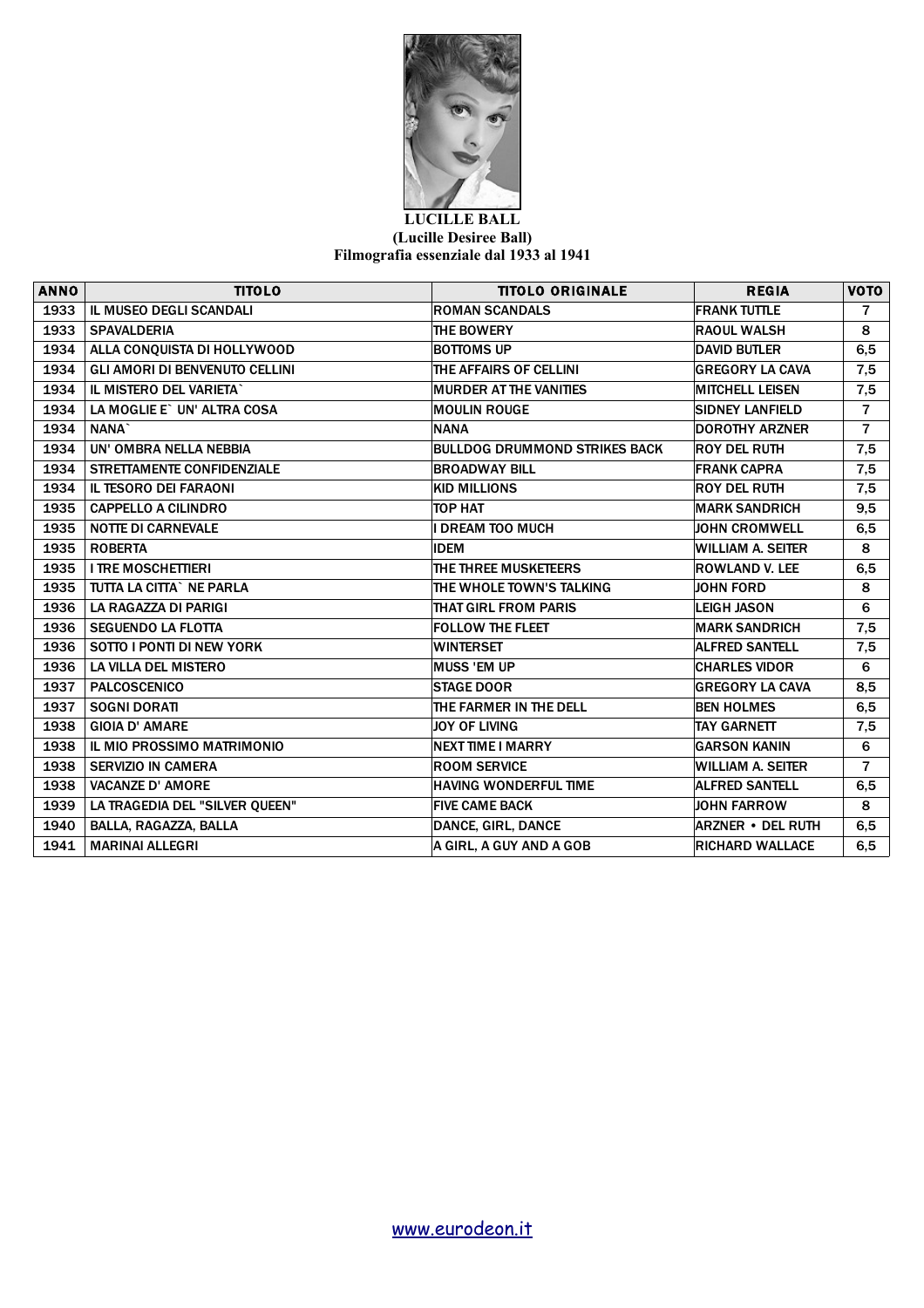

## **LUCILLE BALL (Lucille Desiree Ball) Filmografia essenziale dal 1933 al 1941**

| <b>ANNO</b> | <b>TITOLO</b>                         | <b>TITOLO ORIGINALE</b>              | <b>REGIA</b>             | <b>VOTO</b>    |
|-------------|---------------------------------------|--------------------------------------|--------------------------|----------------|
| 1933        | IL MUSEO DEGLI SCANDALI               | <b>ROMAN SCANDALS</b>                | <b>FRANK TUTTLE</b>      | $\overline{7}$ |
| 1933        | <b>SPAVALDERIA</b>                    | THE BOWERY                           | <b>RAOUL WALSH</b>       | 8              |
| 1934        | ALLA CONQUISTA DI HOLLYWOOD           | <b>BOTTOMS UP</b>                    | <b>DAVID BUTLER</b>      | 6,5            |
| 1934        | <b>GLI AMORI DI BENVENUTO CELLINI</b> | THE AFFAIRS OF CELLINI               | <b>GREGORY LA CAVA</b>   | 7,5            |
| 1934        | IL MISTERO DEL VARIETA`               | <b>MURDER AT THE VANITIES</b>        | <b>MITCHELL LEISEN</b>   | 7,5            |
| 1934        | LA MOGLIE E` UN' ALTRA COSA           | <b>MOULIN ROUGE</b>                  | <b>SIDNEY LANFIELD</b>   | $\overline{7}$ |
| 1934        | NANA <sup>*</sup>                     | <b>NANA</b>                          | <b>DOROTHY ARZNER</b>    | $\overline{7}$ |
| 1934        | UN' OMBRA NELLA NEBBIA                | <b>BULLDOG DRUMMOND STRIKES BACK</b> | <b>ROY DEL RUTH</b>      | 7,5            |
| 1934        | <b>STRETTAMENTE CONFIDENZIALE</b>     | <b>BROADWAY BILL</b>                 | <b>FRANK CAPRA</b>       | 7,5            |
| 1934        | <b>IL TESORO DEI FARAONI</b>          | <b>KID MILLIONS</b>                  | <b>ROY DEL RUTH</b>      | 7,5            |
| 1935        | <b>CAPPELLO A CILINDRO</b>            | TOP HAT                              | <b>MARK SANDRICH</b>     | 9,5            |
| 1935        | <b>NOTTE DI CARNEVALE</b>             | <b>DREAM TOO MUCH</b>                | <b>JOHN CROMWELL</b>     | 6,5            |
| 1935        | <b>ROBERTA</b>                        | <b>IDEM</b>                          | <b>WILLIAM A. SEITER</b> | 8              |
| 1935        | <b>I TRE MOSCHETTIERI</b>             | THE THREE MUSKETEERS                 | <b>ROWLAND V. LEE</b>    | 6, 5           |
| 1935        | TUTTA LA CITTA` NE PARLA              | THE WHOLE TOWN'S TALKING             | <b>JOHN FORD</b>         | 8              |
| 1936        | LA RAGAZZA DI PARIGI                  | <b>THAT GIRL FROM PARIS</b>          | <b>LEIGH JASON</b>       | 6              |
| 1936        | <b>SEGUENDO LA FLOTTA</b>             | <b>FOLLOW THE FLEET</b>              | <b>MARK SANDRICH</b>     | 7,5            |
| 1936        | SOTTO I PONTI DI NEW YORK             | <b>WINTERSET</b>                     | <b>ALFRED SANTELL</b>    | 7,5            |
| 1936        | <b>LA VILLA DEL MISTERO</b>           | <b>MUSS 'EM UP</b>                   | <b>CHARLES VIDOR</b>     | 6              |
| 1937        | <b>PALCOSCENICO</b>                   | <b>STAGE DOOR</b>                    | <b>GREGORY LA CAVA</b>   | 8,5            |
| 1937        | <b>SOGNI DORATI</b>                   | THE FARMER IN THE DELL               | <b>BEN HOLMES</b>        | 6,5            |
| 1938        | <b>GIOIA D' AMARE</b>                 | JOY OF LIVING                        | <b>TAY GARNETT</b>       | 7,5            |
| 1938        | IL MIO PROSSIMO MATRIMONIO            | <b>NEXT TIME I MARRY</b>             | <b>GARSON KANIN</b>      | 6              |
| 1938        | <b>SERVIZIO IN CAMERA</b>             | <b>ROOM SERVICE</b>                  | <b>WILLIAM A. SEITER</b> | $\overline{7}$ |
| 1938        | <b>VACANZE D' AMORE</b>               | <b>HAVING WONDERFUL TIME</b>         | <b>ALFRED SANTELL</b>    | 6,5            |
| 1939        | LA TRAGEDIA DEL "SILVER QUEEN"        | <b>FIVE CAME BACK</b>                | <b>JOHN FARROW</b>       | 8              |
| 1940        | BALLA, RAGAZZA, BALLA                 | DANCE, GIRL, DANCE                   | <b>ARZNER • DEL RUTH</b> | 6,5            |
| 1941        | <b>MARINAI ALLEGRI</b>                | A GIRL. A GUY AND A GOB              | <b>RICHARD WALLACE</b>   | 6, 5           |